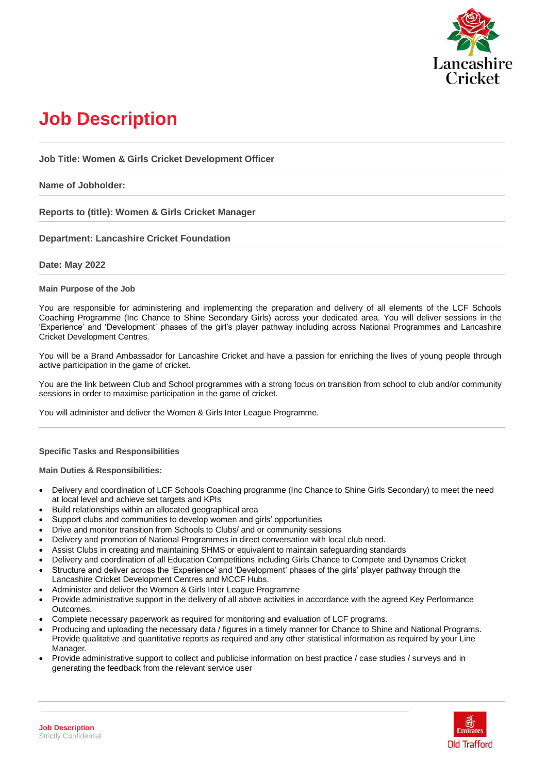

# **Job Description**

**Job Title: Women & Girls Cricket Development Officer**

## **Name of Jobholder:**

**Reports to (title): Women & Girls Cricket Manager**

## **Department: Lancashire Cricket Foundation**

## **Date: May 2022**

## **Main Purpose of the Job**

You are responsible for administering and implementing the preparation and delivery of all elements of the LCF Schools Coaching Programme (Inc Chance to Shine Secondary Girls) across your dedicated area. You will deliver sessions in the 'Experience' and 'Development' phases of the girl's player pathway including across National Programmes and Lancashire Cricket Development Centres.

You will be a Brand Ambassador for Lancashire Cricket and have a passion for enriching the lives of young people through active participation in the game of cricket.

You are the link between Club and School programmes with a strong focus on transition from school to club and/or community sessions in order to maximise participation in the game of cricket.

You will administer and deliver the Women & Girls Inter League Programme.

## **Specific Tasks and Responsibilities**

**Main Duties & Responsibilities:**

- Delivery and coordination of LCF Schools Coaching programme (Inc Chance to Shine Girls Secondary) to meet the need at local level and achieve set targets and KPIs
- Build relationships within an allocated geographical area
- Support clubs and communities to develop women and girls' opportunities
- Drive and monitor transition from Schools to Clubs/ and or community sessions
- Delivery and promotion of National Programmes in direct conversation with local club need.
- Assist Clubs in creating and maintaining SHMS or equivalent to maintain safeguarding standards
- Delivery and coordination of all Education Competitions including Girls Chance to Compete and Dynamos Cricket
- Structure and deliver across the 'Experience' and 'Development' phases of the girls' player pathway through the Lancashire Cricket Development Centres and MCCF Hubs.
- Administer and deliver the Women & Girls Inter League Programme
- Provide administrative support in the delivery of all above activities in accordance with the agreed Key Performance Outcomes.
- Complete necessary paperwork as required for monitoring and evaluation of LCF programs.
- Producing and uploading the necessary data / figures in a timely manner for Chance to Shine and National Programs. Provide qualitative and quantitative reports as required and any other statistical information as required by your Line Manager.
- Provide administrative support to collect and publicise information on best practice / case studies / surveys and in generating the feedback from the relevant service user

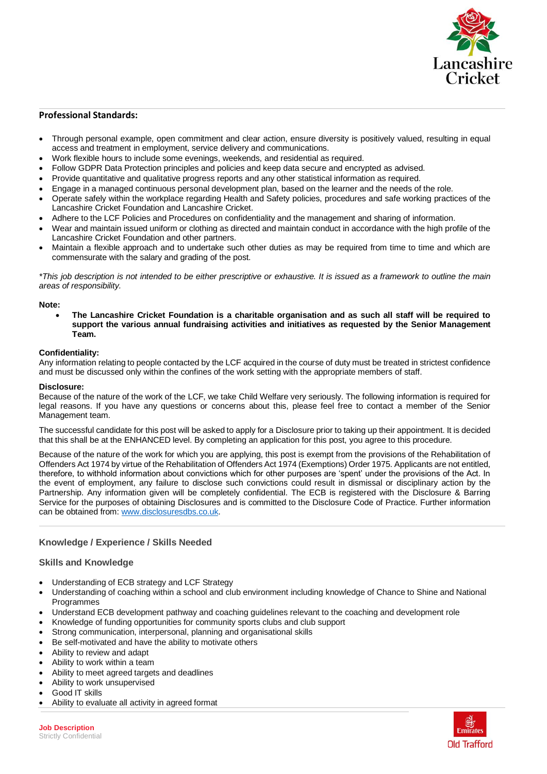

## **Professional Standards:**

- Through personal example, open commitment and clear action, ensure diversity is positively valued, resulting in equal access and treatment in employment, service delivery and communications.
- Work flexible hours to include some evenings, weekends, and residential as required.
- Follow GDPR Data Protection principles and policies and keep data secure and encrypted as advised.
- Provide quantitative and qualitative progress reports and any other statistical information as required.
- Engage in a managed continuous personal development plan, based on the learner and the needs of the role.
- Operate safely within the workplace regarding Health and Safety policies, procedures and safe working practices of the Lancashire Cricket Foundation and Lancashire Cricket.
- Adhere to the LCF Policies and Procedures on confidentiality and the management and sharing of information.
- Wear and maintain issued uniform or clothing as directed and maintain conduct in accordance with the high profile of the Lancashire Cricket Foundation and other partners.
- Maintain a flexible approach and to undertake such other duties as may be required from time to time and which are commensurate with the salary and grading of the post.

*\*This job description is not intended to be either prescriptive or exhaustive. It is issued as a framework to outline the main areas of responsibility.*

#### **Note:**

• **The Lancashire Cricket Foundation is a charitable organisation and as such all staff will be required to support the various annual fundraising activities and initiatives as requested by the Senior Management Team.**

#### **Confidentiality:**

Any information relating to people contacted by the LCF acquired in the course of duty must be treated in strictest confidence and must be discussed only within the confines of the work setting with the appropriate members of staff.

#### **Disclosure:**

Because of the nature of the work of the LCF, we take Child Welfare very seriously. The following information is required for legal reasons. If you have any questions or concerns about this, please feel free to contact a member of the Senior Management team.

The successful candidate for this post will be asked to apply for a Disclosure prior to taking up their appointment. It is decided that this shall be at the ENHANCED level. By completing an application for this post, you agree to this procedure.

Because of the nature of the work for which you are applying, this post is exempt from the provisions of the Rehabilitation of Offenders Act 1974 by virtue of the Rehabilitation of Offenders Act 1974 (Exemptions) Order 1975. Applicants are not entitled, therefore, to withhold information about convictions which for other purposes are 'spent' under the provisions of the Act. In the event of employment, any failure to disclose such convictions could result in dismissal or disciplinary action by the Partnership. Any information given will be completely confidential. The ECB is registered with the Disclosure & Barring Service for the purposes of obtaining Disclosures and is committed to the Disclosure Code of Practice. Further information can be obtained from: [www.disclosuresdbs.co.uk.](http://www.disclosuresdbs.co.uk/)

## **Knowledge / Experience / Skills Needed**

### **Skills and Knowledge**

- Understanding of ECB strategy and LCF Strategy
- Understanding of coaching within a school and club environment including knowledge of Chance to Shine and National **Programmes**
- Understand ECB development pathway and coaching guidelines relevant to the coaching and development role
- Knowledge of funding opportunities for community sports clubs and club support
- Strong communication, interpersonal, planning and organisational skills
- Be self-motivated and have the ability to motivate others
- Ability to review and adapt
- Ability to work within a team
- Ability to meet agreed targets and deadlines
- Ability to work unsupervised
- Good IT skills
- Ability to evaluate all activity in agreed format